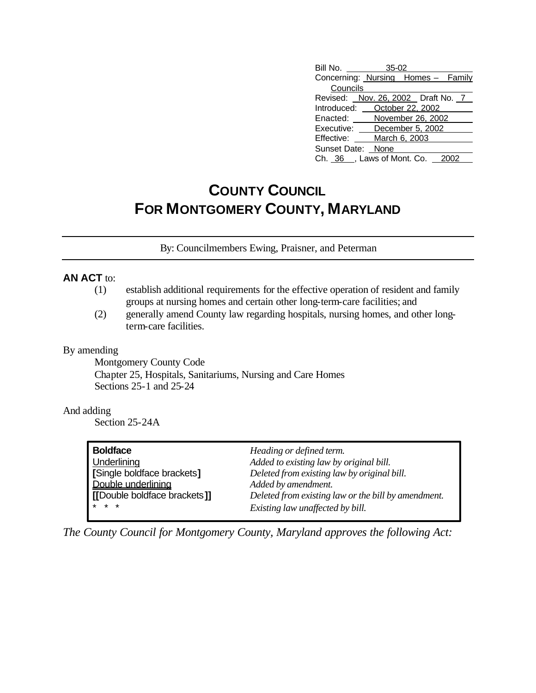| Bill No.                           | 35-02             |  |  |
|------------------------------------|-------------------|--|--|
| Concerning: Nursing Homes - Family |                   |  |  |
| Councils                           |                   |  |  |
| Revised: Nov. 26, 2002 Draft No. 7 |                   |  |  |
| Introduced:                        | October 22, 2002  |  |  |
| Enacted:                           | November 26, 2002 |  |  |
| Executive: December 5, 2002        |                   |  |  |
| Effective:                         | March 6, 2003     |  |  |
| Sunset Date: None                  |                   |  |  |
| Ch. 36, Laws of Mont. Co. 20       |                   |  |  |

# **COUNTY COUNCIL FOR MONTGOMERY COUNTY, MARYLAND**

By: Councilmembers Ewing, Praisner, and Peterman

### **AN ACT** to:

- (1) establish additional requirements for the effective operation of resident and family groups at nursing homes and certain other long-term-care facilities; and
- (2) generally amend County law regarding hospitals, nursing homes, and other longterm-care facilities.

#### By amending

Montgomery County Code Chapter 25, Hospitals, Sanitariums, Nursing and Care Homes Sections 25-1 and 25-24

#### And adding

Section 25-24A

| <b>Boldface</b>              | Heading or defined term.                            |
|------------------------------|-----------------------------------------------------|
| Underlining                  | Added to existing law by original bill.             |
| [Single boldface brackets]   | Deleted from existing law by original bill.         |
| Double underlining           | Added by amendment.                                 |
| [[Double boldface brackets]] | Deleted from existing law or the bill by amendment. |
| $* * *$                      | Existing law unaffected by bill.                    |

*The County Council for Montgomery County, Maryland approves the following Act:*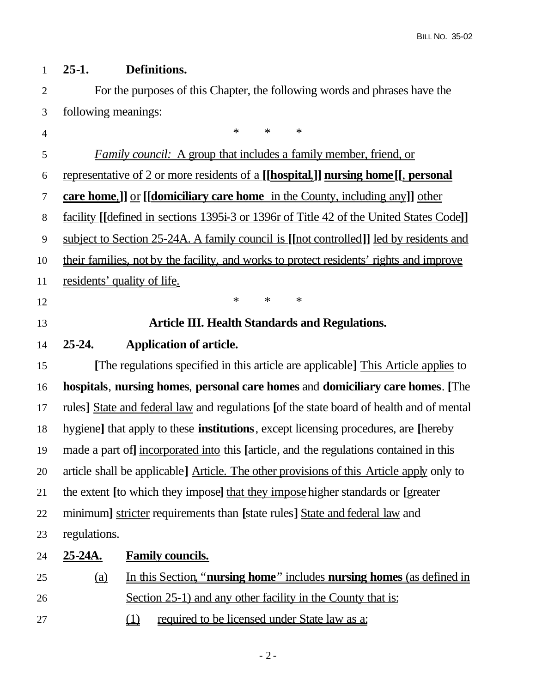## **25-1. Definitions.**

 For the purposes of this Chapter, the following words and phrases have the following meanings:

4 \* \* \* \* *Family council:* A group that includes a family member, friend, or representative of 2 or more residents of a **[[hospital**,**]] nursing home[[**, **personal care home**,**]]** or **[[domiciliary care home** in the County, including any**]]** other facility **[[**defined in sections 1395i-3 or 1396r of Title 42 of the United States Code**]]** subject to Section 25-24A. A family council is **[[**not controlled**]]** led by residents and their families, not by the facility, and works to protect residents' rights and improve residents' quality of life. **\*** \* \* \* **Article III. Health Standards and Regulations. 25-24. Application of article. [**The regulations specified in this article are applicable**]** This Article applies to **hospitals**, **nursing homes**, **personal care homes** and **domiciliary care homes**. **[**The rules**]** State and federal law and regulations **[**of the state board of health and of mental hygiene**]** that apply to these **institutions**, except licensing procedures, are **[**hereby made a part of**]** incorporated into this **[**article, and the regulations contained in this article shall be applicable**]** Article. The other provisions of this Article apply only to the extent **[**to which they impose**]** that they impose higher standards or **[**greater minimum**]** stricter requirements than **[**state rules**]** State and federal law and regulations. **25-24A. Family councils.** (a) In this Section, "**nursing home**" includes **nursing homes** (as defined in Section 25-1) and any other facility in the County that is: (1) required to be licensed under State law as a: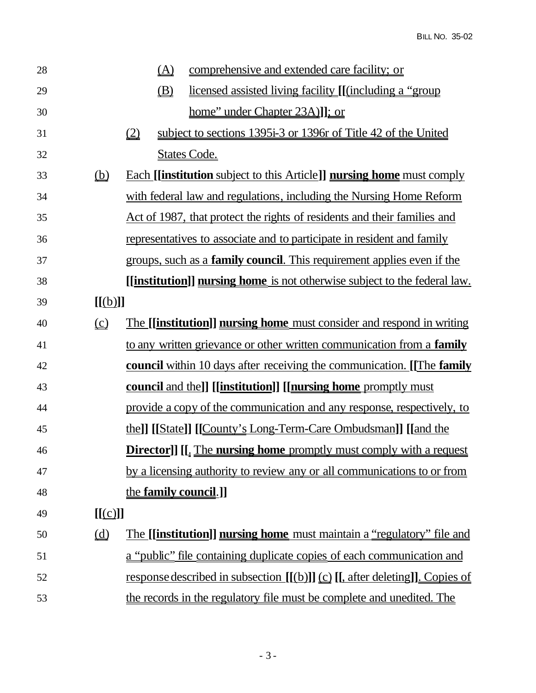| 28 |                                                      |     | <u>(A)</u> | comprehensive and extended care facility; or                                                  |
|----|------------------------------------------------------|-----|------------|-----------------------------------------------------------------------------------------------|
| 29 |                                                      |     | (B)        | licensed assisted living facility [[(including a "group"]                                     |
| 30 |                                                      |     |            | home" under Chapter 23A)]]; or                                                                |
| 31 |                                                      | (2) |            | subject to sections 1395i-3 or 1396r of Title 42 of the United                                |
| 32 |                                                      |     |            | <b>States Code.</b>                                                                           |
| 33 | $\underline{\underline{\left(\underline{b}\right)}}$ |     |            | <b>Each [[institution</b> subject to this Article]] <b>nursing home</b> must comply           |
| 34 |                                                      |     |            | with federal law and regulations, including the Nursing Home Reform                           |
| 35 |                                                      |     |            | <u>Act of 1987, that protect the rights of residents and their families and</u>               |
| 36 |                                                      |     |            | representatives to associate and to participate in resident and family                        |
| 37 |                                                      |     |            | groups, such as a <b>family council</b> . This requirement applies even if the                |
| 38 |                                                      |     |            | [[institution]] nursing home is not otherwise subject to the federal law.                     |
| 39 | [[(b)]]                                              |     |            |                                                                                               |
| 40 | $\Omega$                                             |     |            | The [[institution]] nursing home must consider and respond in writing                         |
| 41 |                                                      |     |            | to any written grievance or other written communication from a family                         |
| 42 |                                                      |     |            | <b>council</b> within 10 days after receiving the communication. [The <b>family</b>           |
| 43 |                                                      |     |            | council and the]] [[institution]] [[nursing home promptly must                                |
| 44 |                                                      |     |            | provide a copy of the communication and any response, respectively, to                        |
| 45 |                                                      |     |            | the]] [[State]] [[County's Long-Term-Care Ombudsman]] [[and the                               |
| 46 |                                                      |     |            | <b>Director]]</b> [[ <sub>4</sub> The <b>nursing home</b> promptly must comply with a request |
| 47 |                                                      |     |            | by a licensing authority to review any or all communications to or from                       |
| 48 |                                                      |     |            | the family council.]                                                                          |
| 49 | [[(c)]]                                              |     |            |                                                                                               |
| 50 | $\underline{\underline{d}}$                          |     |            | <u>The [[institution]] nursing home must maintain a "regulatory" file and</u>                 |
| 51 |                                                      |     |            | a "public" file containing duplicate copies of each communication and                         |
| 52 |                                                      |     |            | response described in subsection $[(b)]]$ $(c)$ $[$ , after deleting]]. Copies of             |
| 53 |                                                      |     |            | the records in the regulatory file must be complete and unedited. The                         |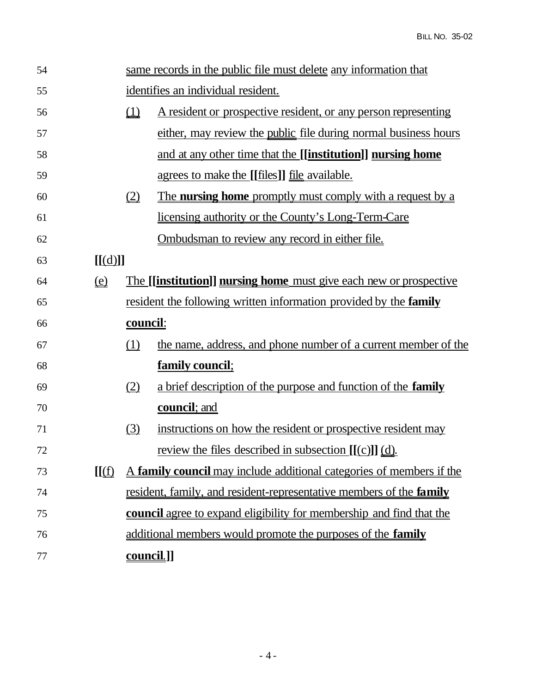| 54 |                              |                                       | same records in the public file must delete any information that            |  |
|----|------------------------------|---------------------------------------|-----------------------------------------------------------------------------|--|
| 55 |                              | identifies an individual resident.    |                                                                             |  |
| 56 |                              | $\Box$                                | A resident or prospective resident, or any person representing              |  |
| 57 |                              |                                       | either, may review the public file during normal business hours             |  |
| 58 |                              |                                       | and at any other time that the [[institution]] nursing home                 |  |
| 59 |                              |                                       | <u>agrees to make the [[files]] file available.</u>                         |  |
| 60 |                              | $\underline{\underline{\mathcal{Q}}}$ | <u>The nursing home promptly must comply with a request by a</u>            |  |
| 61 |                              |                                       | <u>licensing authority or the County's Long-Term-Care</u>                   |  |
| 62 |                              |                                       | <u>Ombudsman to review any record in either file.</u>                       |  |
| 63 | [[(d)]]                      |                                       |                                                                             |  |
| 64 | $\left(\underline{e}\right)$ |                                       | <u>The [[institution]] nursing home must give each new or prospective</u>   |  |
| 65 |                              |                                       | resident the following written information provided by the <b>family</b>    |  |
| 66 |                              | <u>council:</u>                       |                                                                             |  |
| 67 |                              | (1)                                   | the name, address, and phone number of a current member of the              |  |
| 68 |                              |                                       | family council;                                                             |  |
| 69 |                              | (2)                                   | a brief description of the purpose and function of the <b>family</b>        |  |
| 70 |                              |                                       | council; and                                                                |  |
| 71 |                              | (3)                                   | instructions on how the resident or prospective resident may                |  |
| 72 |                              |                                       | review the files described in subsection $[(c)]$ $(d)$ .                    |  |
| 73 | [[(f)                        |                                       | A family council may include additional categories of members if the        |  |
| 74 |                              |                                       | resident, family, and resident-representative members of the <b>family</b>  |  |
| 75 |                              |                                       | <b>council</b> agree to expand eligibility for membership and find that the |  |
| 76 |                              |                                       | additional members would promote the purposes of the <b>family</b>          |  |
| 77 |                              | <u>council.]]</u>                     |                                                                             |  |